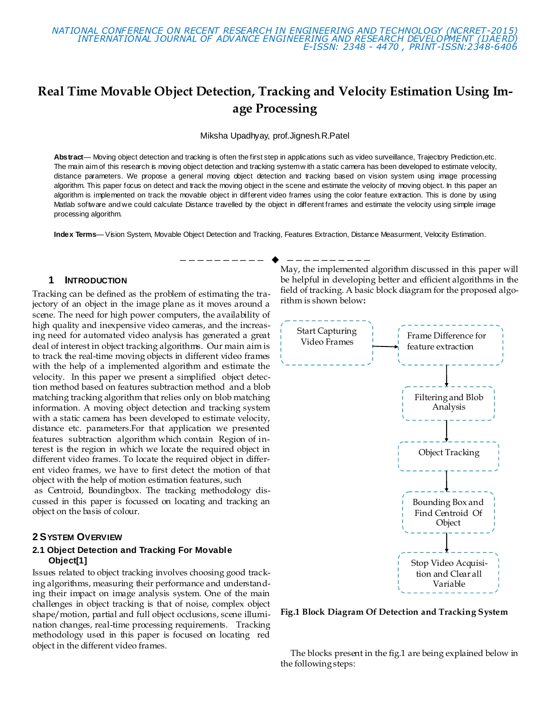

# **Real Time Movable Object Detection, Tracking and Velocity Estimation Using Image Processing**

Miksha Upadhyay, prof.Jignesh.R.Patel

**Abstract**— Moving object detection and tracking is often the first step in applications such as video surveillance, Trajectory Prediction,etc. The main aim of this research is moving object detection and tracking system w ith a static camera has been developed to estimate velocity, distance parameters. We propose a general moving object detection and tracking based on vision system using image processing algorithm. This paper focus on detect and track the moving object in the scene and estimate the velocity of moving object. In this paper an algorithm is implemented on track the movable object in different video frames using the color feature extraction. This is done by using Matlab software and we could calculate Distance travelled by the object in different frames and estimate the velocity using simple image processing algorithm.

**Index Terms**— Vision System, Movable Object Detection and Tracking, Features Extraction, Distance Measurment, Velocity Estimation.

#### **1 INTRODUCTION**

Tracking can be defined as the problem of estimating the trajectory of an object in the image plane as it moves around a scene. The need for high power computers, the availability of high quality and inexpensive video cameras, and the increasing need for automated video analysis has generated a great deal of interest in object tracking algorithms. Our main aim is to track the real-time moving objects in different video frames with the help of a implemented algorithm and estimate the velocity. In this paper we present a simplified object detection method based on features subtraction method and a blob matching tracking algorithm that relies only on blob matching information. A moving object detection and tracking system with a static camera has been developed to estimate velocity, distance etc. parameters.For that application we presented features subtraction algorithm which contain Region of interest is the region in which we locate the required object in different video frames. To locate the required object in different video frames, we have to first detect the motion of that object with the help of motion estimation features, such

as Centroid, Boundingbox. The tracking methodology discussed in this paper is focussed on locating and tracking an object on the basis of colour.

#### **2 SYSTEM OVERVIEW**

#### **2.1 Object Detection and Tracking For Movable Object[1]**

Issues related to object tracking involves choosing good tracking algorithms, measuring their performance and understanding their impact on image analysis system. One of the main challenges in object tracking is that of noise, complex object shape/motion, partial and full object occlusions, scene illumination changes, real-time processing requirements. Tracking methodology used in this paper is focused on locating red object in the different video frames.

————————— ♦ -----------May, the implemented algorithm discussed in this paper will be helpful in developing better and efficient algorithms in the field of tracking. A basic block diagram for the proposed algorithm is shown below**:**



**Fig.1 Block Diagram Of Detection and Tracking System**

 The blocks present in the fig.1 are being explained below in the following steps: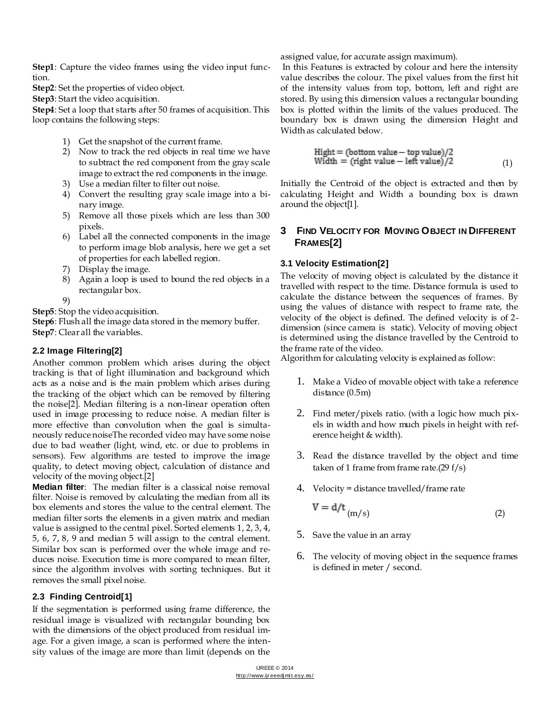**Step1**: Capture the video frames using the video input function.

Step2: Set the properties of video object.

**Step3**: Start the video acquisition.

**Step4**: Set a loop that starts after 50 frames of acquisition. This loop contains the following steps:

- 1) Get the snapshot of the current frame.
- 2) Now to track the red objects in real time we have to subtract the red component from the gray scale image to extract the red components in the image.
- 3) Use a median filter to filter out noise.
- 4) Convert the resulting gray scale image into a binary image.
- 5) Remove all those pixels which are less than 300 pixels.
- 6) Label all the connected components in the image to perform image blob analysis, here we get a set of properties for each labelled region.
- 7) Display the image.
- 8) Again a loop is used to bound the red objects in a rectangular box.
- 9)

**Step5**: Stop the video acquisition.

**Step6**: Flush all the image data stored in the memory buffer. **Step7**: Clear all the variables.

## **2.2 Image Filtering[2]**

Another common problem which arises during the object tracking is that of light illumination and background which acts as a noise and is the main problem which arises during the tracking of the object which can be removed by filtering the noise[2]. Median filtering is a non-linear operation often used in image processing to reduce noise. A median filter is more effective than convolution when the goal is simultaneously reduce noiseThe recorded video may have some noise due to bad weather (light, wind, etc. or due to problems in sensors). Few algorithms are tested to improve the image quality, to detect moving object, calculation of distance and velocity of the moving object.[2]

**Median filter**: The median filter is a classical noise removal filter. Noise is removed by calculating the median from all its box elements and stores the value to the central element. The median filter sorts the elements in a given matrix and median value is assigned to the central pixel. Sorted elements 1, 2, 3, 4, 5, 6, 7, 8, 9 and median 5 will assign to the central element. Similar box scan is performed over the whole image and reduces noise. Execution time is more compared to mean filter, since the algorithm involves with sorting techniques. But it removes the small pixel noise.

# **2.3 Finding Centroid[1]**

If the segmentation is performed using frame difference, the residual image is visualized with rectangular bounding box with the dimensions of the object produced from residual image. For a given image, a scan is performed where the intensity values of the image are more than limit (depends on the assigned value, for accurate assign maximum).

In this Features is extracted by colour and here the intensity value describes the colour. The pixel values from the first hit of the intensity values from top, bottom, left and right are stored. By using this dimension values a rectangular bounding box is plotted within the limits of the values produced. The boundary box is drawn using the dimension Height and Width as calculated below.

$$
Hight = (bottom value - top value)/2
$$
  
Width = (right value - left value)/2 (1)

Initially the Centroid of the object is extracted and then by calculating Height and Width a bounding box is drawn around the object[1].

# **3 FIND VELOCITY FOR MOVING OBJECT IN DIFFERENT FRAMES[2]**

## **3.1 Velocity Estimation[2]**

The velocity of moving object is calculated by the distance it travelled with respect to the time. Distance formula is used to calculate the distance between the sequences of frames. By using the values of distance with respect to frame rate, the velocity of the object is defined. The defined velocity is of 2 dimension (since camera is static). Velocity of moving object is determined using the distance travelled by the Centroid to the frame rate of the video.

Algorithm for calculating velocity is explained as follow:

- 1. Make a Video of movable object with take a reference distance (0.5m)
- 2. Find meter/pixels ratio. (with a logic how much pixels in width and how much pixels in height with reference height & width).
- 3. Read the distance travelled by the object and time taken of 1 frame from frame rate.(29 f/s)
- 4. Velocity = distance travelled/frame rate

$$
V = d/t \tag{2}
$$

- 5. Save the value in an array
- 6. The velocity of moving object in the sequence frames is defined in meter / second.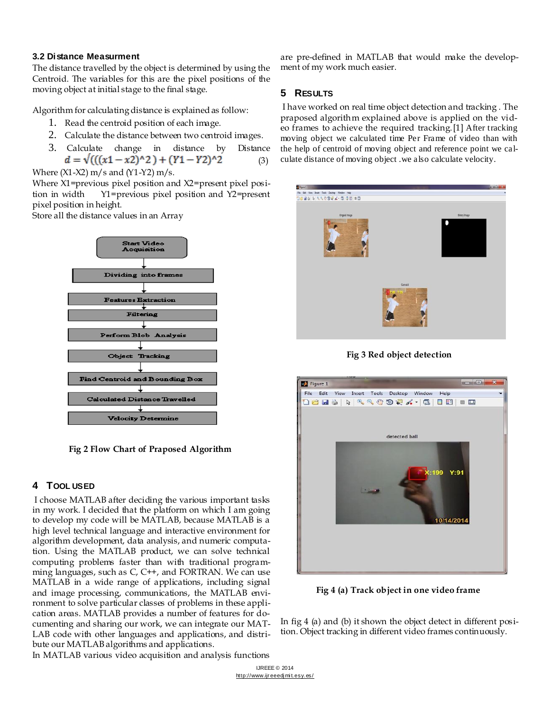#### **3.2 Distance Measurment**

The distance travelled by the object is determined by using the Centroid. The variables for this are the pixel positions of the moving object at initial stage to the final stage.

Algorithm for calculating distance is explained as follow:

- 1. Read the centroid position of each image.
- 2. Calculate the distance between two centroid images.
- 3. Calculate change in distance by Distance  $d = \sqrt{((x1 - x2)^2 + (Y1 - Y2)^2)}$  (3)

Where  $(X1-X2)$  m/s and  $(Y1-Y2)$  m/s.

Where X1=previous pixel position and X2=present pixel position in width Y1=previous pixel position and Y2=present pixel position in height.

Store all the distance values in an Array



**Fig 2 Flow Chart of Praposed Algorithm**

## **4 TOOL USED**

I choose MATLAB after deciding the various important tasks in my work. I decided that the platform on which I am going to develop my code will be MATLAB, because MATLAB is a high level technical language and interactive environment for algorithm development, data analysis, and numeric computation. Using the MATLAB product, we can solve technical computing problems faster than with traditional programming languages, such as C, C++, and FORTRAN. We can use MATLAB in a wide range of applications, including signal and image processing, communications, the MATLAB environment to solve particular classes of problems in these application areas. MATLAB provides a number of features for documenting and sharing our work, we can integrate our MAT-LAB code with other languages and applications, and distribute our MATLAB algorithms and applications.

are pre-defined in MATLAB that would make the development of my work much easier.

#### **5 RESULTS**

I have worked on real time object detection and tracking . The praposed algorithm explained above is applied on the video frames to achieve the required tracking.[1] After tracking moving object we calculated time Per Frame of video than with the help of centroid of moving object and reference point we calculate distance of moving object .we also calculate velocity.







**Fig 4 (a) Track object in one video frame**

In fig 4 (a) and (b) it shown the object detect in different position. Object tracking in different video frames continuously.

In MATLAB various video acquisition and analysis functions

IJREEE © 2014 http://www.ijr eeedj mi t.esy.es/